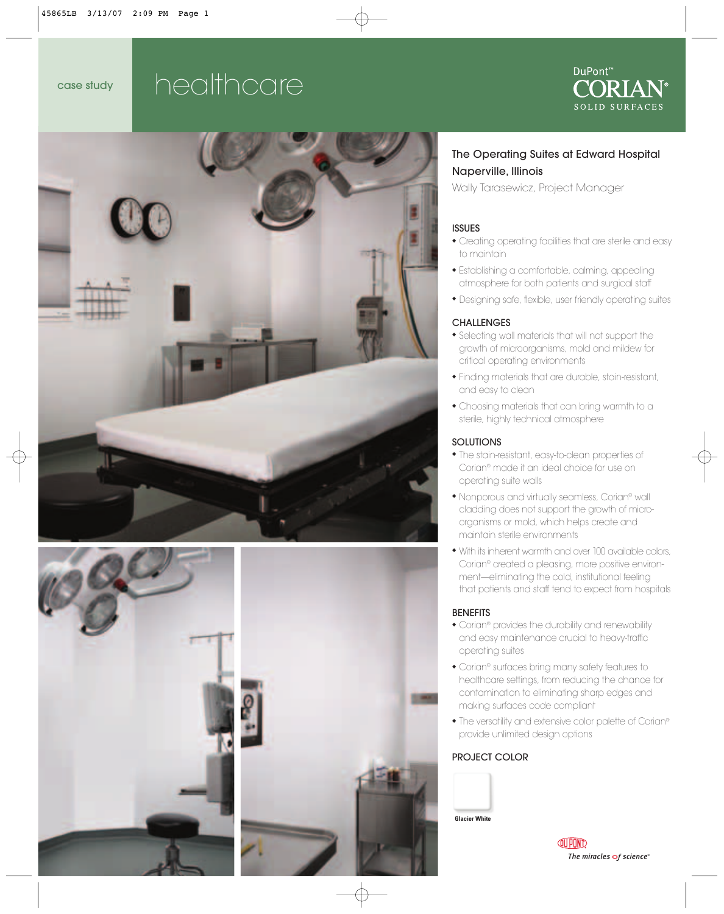## case study healthcare







#### The Operating Suites at Edward Hospital Naperville, Illinois

Wally Tarasewicz, Project Manager

#### ISSUES

- ◆ Creating operating facilities that are sterile and easy to maintain
- ◆ Establishing a comfortable, calming, appealing atmosphere for both patients and surgical staff
- ◆ Designing safe, flexible, user friendly operating suites

#### **CHALLENGES**

- ◆ Selecting wall materials that will not support the growth of microorganisms, mold and mildew for critical operating environments
- ◆ Finding materials that are durable, stain-resistant, and easy to clean
- ◆ Choosing materials that can bring warmth to a sterile, highly technical atmosphere

#### **SOLUTIONS**

- ◆ The stain-resistant, easy-to-clean properties of Corian® made it an ideal choice for use on operating suite walls
- ◆ Nonporous and virtually seamless, Corian® wall cladding does not support the growth of microorganisms or mold, which helps create and maintain sterile environments
- ◆ With its inherent warmth and over 100 available colors, Corian® created a pleasing, more positive environment—eliminating the cold, institutional feeling that patients and staff tend to expect from hospitals

#### BENEFITS

- ◆ Corian® provides the durability and renewability and easy maintenance crucial to heavy-traffic operating suites
- ◆ Corian® surfaces bring many safety features to healthcare settings, from reducing the chance for contamination to eliminating sharp edges and making surfaces code compliant
- ◆ The versatility and extensive color palette of Corian® provide unlimited design options

#### PROJECT COLOR



**QUPOND** The miracles  $\sigma$ f science"